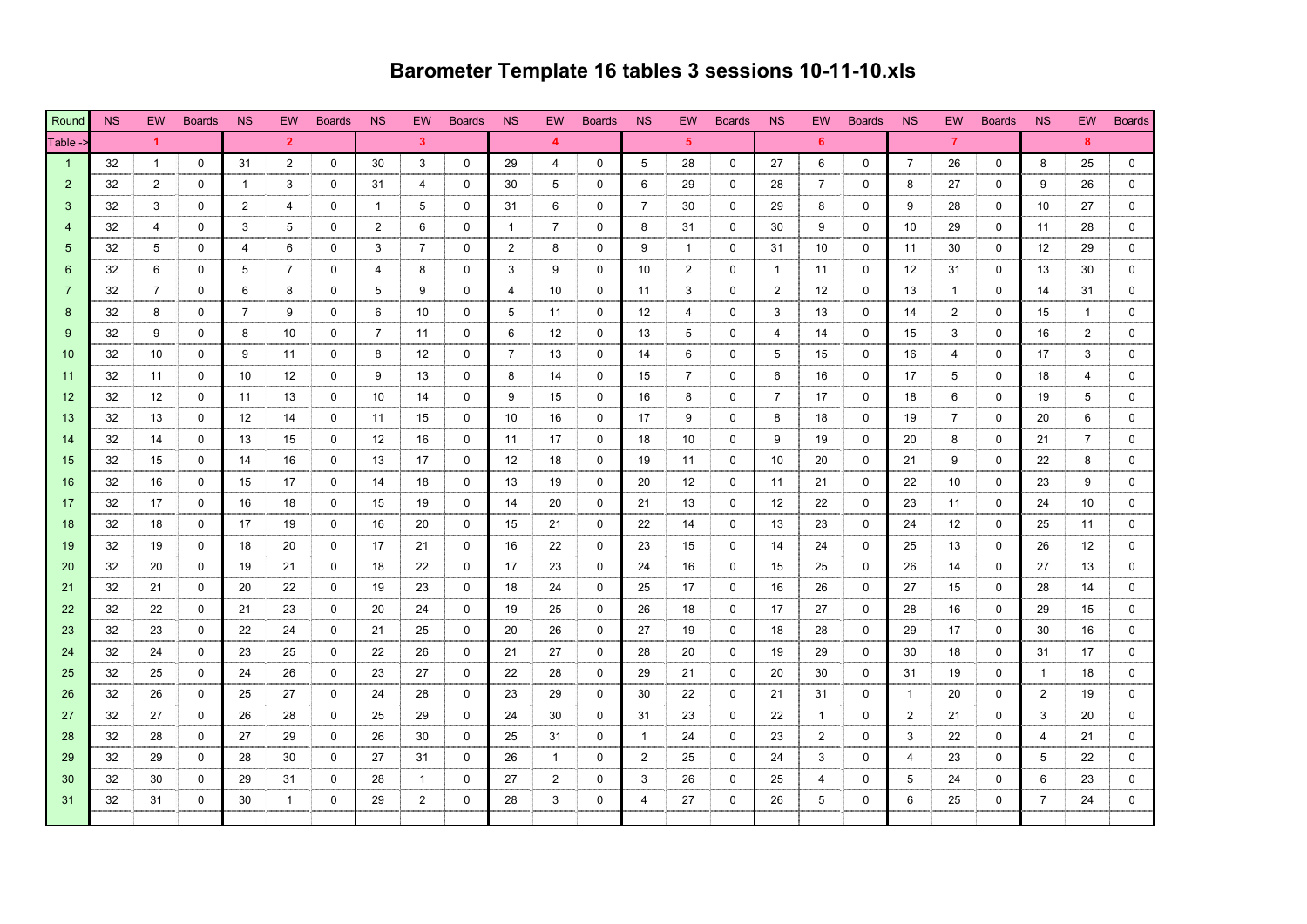## **Barometer Template 16 tables 3 sessions 10-11-10.xls**

| Round          | <b>NS</b> | EW.                  | <b>Boards</b> | <b>NS</b>      | EW.            | <b>Boards</b> | <b>NS</b>      | <b>EW</b>      | <b>Boards</b> | N <sub>S</sub> | <b>EW</b>      | <b>Boards</b> | <b>NS</b>      | EW.            | <b>Boards</b> | <b>NS</b>      | EW.            | <b>Boards</b> | <b>NS</b>         | EW.            | <b>Boards</b> | <b>NS</b>         | EW.            | <b>Boards</b> |
|----------------|-----------|----------------------|---------------|----------------|----------------|---------------|----------------|----------------|---------------|----------------|----------------|---------------|----------------|----------------|---------------|----------------|----------------|---------------|-------------------|----------------|---------------|-------------------|----------------|---------------|
| Table ->       |           | $\blacktriangleleft$ |               |                | $\overline{2}$ |               |                | $\mathbf{3}$   |               |                | $\overline{4}$ |               |                | $5^{\circ}$    |               |                | 6.             |               |                   | $\overline{7}$ |               |                   | 8              |               |
| $\overline{1}$ | 32        | $\mathbf{1}$         | $\mathbf 0$   | 31             | 2              | 0             | 30             | 3              | $\mathbf 0$   | 29             | $\overline{4}$ | $\mathbf 0$   | 5              | 28             | $\Omega$      | 27             | 6              | $\mathbf 0$   | $\overline{7}$    | 26             | $\mathbf 0$   | 8                 | 25             | 0             |
| 2              | 32        | 2                    | 0             | $\mathbf{1}$   | 3              | $\Omega$      | 31             | 4              | $\mathbf 0$   | 30             | 5              | $\mathbf 0$   | 6              | 29             | $\mathbf 0$   | 28             | $\overline{7}$ | $\mathbf 0$   | 8                 | 27             | $\mathbf 0$   | 9                 | 26             | 0             |
| 3              | 32        | 3                    | $\mathbf{0}$  | 2              | 4              | $\Omega$      | $\overline{1}$ | 5              | $\Omega$      | 31             | 6              | $\Omega$      | $\overline{7}$ | 30             | $\Omega$      | 29             | 8              | $\mathbf{0}$  | 9                 | 28             | $\Omega$      | 10                | 27             | $\Omega$      |
|                | 32        | 4                    | $\Omega$      | 3              | 5              | $\Omega$      | 2              | 6              | $\Omega$      | $\mathbf{1}$   | $\overline{7}$ | $\Omega$      | 8              | 31             | $\Omega$      | 30             | 9              | $\Omega$      | 10                | 29             | $\Omega$      | 11                | 28             | $\Omega$      |
| 5              | 32        | 5                    | 0             | 4              | 6              | $\Omega$      | 3              | $\overline{7}$ | $\mathbf 0$   | $\overline{2}$ | 8              | $\mathbf 0$   | 9              | $\mathbf{1}$   | $\mathbf 0$   | 31             | 10             | $\mathbf 0$   | 11                | 30             | $\mathbf 0$   | $12 \overline{ }$ | 29             | 0             |
| 6              | 32        | 6                    | $\mathbf 0$   | 5              | $\overline{7}$ | $\Omega$      | $\overline{4}$ | 8              | $\mathbf 0$   | 3              | 9              | $\Omega$      | 10             | $\overline{2}$ | $\mathbf 0$   | $\overline{1}$ | 11             | $\mathbf 0$   | $12 \overline{ }$ | 31             | $\mathbf 0$   | 13                | 30             | $\Omega$      |
| $\overline{7}$ | 32        | $\overline{7}$       | 0             | 6              | 8              | 0             | 5              | 9              | $\mathbf 0$   | 4              | 10             | 0             | 11             | 3              | 0             | 2              | 12             | 0             | 13                | $\mathbf{1}$   | 0             | 14                | 31             | $\Omega$      |
| 8              | 32        | 8                    | 0             | $\overline{7}$ | 9              | 0             | 6              | 10             | 0             | 5              | 11             | $\mathbf 0$   | 12             | $\overline{4}$ | 0             | 3              | 13             | 0             | 14                | $\overline{2}$ | $\mathbf 0$   | 15                | $\overline{1}$ | 0             |
| 9              | 32        | 9                    | 0             | 8              | 10             | 0             | $\overline{7}$ | 11             | 0             | 6              | 12             | $\mathbf 0$   | 13             | 5              | 0             | 4              | 14             | 0             | 15                | 3              | $\mathbf 0$   | 16                | 2              | 0             |
| 10             | 32        | 10                   | $\mathbf 0$   | 9              | 11             | 0             | 8              | 12             | 0             | $\overline{7}$ | 13             | $\mathbf 0$   | 14             | 6              | $\mathbf 0$   | 5              | 15             | 0             | 16                | 4              | $\mathbf 0$   | 17                | 3              | 0             |
| 11             | 32        | 11                   | $\mathbf 0$   | 10             | 12             | 0             | 9              | 13             | $\mathbf 0$   | 8              | 14             | $\mathbf 0$   | 15             | $\overline{7}$ | $\mathbf 0$   | 6              | 16             | $\mathbf 0$   | 17                | 5              | $\mathbf 0$   | 18                | $\overline{4}$ | $\mathbf 0$   |
| 12             | 32        | 12                   | 0             | 11             | 13             | 0             | 10             | 14             | $\mathbf 0$   | 9              | 15             | $\mathbf 0$   | 16             | 8              | $\mathbf 0$   | $\overline{7}$ | 17             | 0             | 18                | 6              | $\mathbf 0$   | 19                | 5              | $\mathbf 0$   |
| 13             | 32        | 13                   | $\mathbf 0$   | 12             | 14             | 0             | 11             | 15             | $\mathbf 0$   | 10             | 16             | $\mathbf 0$   | 17             | 9              | $\mathbf 0$   | 8              | 18             | 0             | 19                | $\overline{7}$ | $\mathbf 0$   | 20                | 6              | 0             |
| 14             | 32        | 14                   | 0             | 13             | 15             | 0             | 12             | 16             | $\mathbf 0$   | 11             | 17             | $\mathbf 0$   | 18             | 10             | $\mathbf 0$   | 9              | 19             | 0             | 20                | 8              | $\mathbf 0$   | 21                | $\overline{7}$ | 0             |
| 15             | 32        | 15                   | 0             | 14             | 16             | 0             | 13             | 17             | $\mathbf 0$   | 12             | 18             | $\mathbf 0$   | 19             | 11             | $\mathbf 0$   | 10             | 20             | 0             | 21                | 9              | $\mathbf 0$   | 22                | 8              | 0             |
| 16             | 32        | 16                   | 0             | 15             | 17             | 0             | 14             | 18             | $\mathbf 0$   | 13             | 19             | $\mathbf 0$   | 20             | 12             | $\mathbf 0$   | 11             | 21             | 0             | 22                | 10             | $\mathbf 0$   | 23                | 9              | $\mathbf{0}$  |
| 17             | 32        | 17                   | $\mathbf 0$   | 16             | 18             | 0             | 15             | 19             | $\mathbf 0$   | 14             | 20             | $\mathbf 0$   | 21             | 13             | $\mathbf 0$   | 12             | 22             | $\mathbf 0$   | 23                | 11             | $\mathbf 0$   | 24                | 10             | $\mathbf 0$   |
| 18             | 32        | 18                   | 0             | 17             | 19             | $\Omega$      | 16             | 20             | $\mathbf 0$   | 15             | 21             | $\mathbf 0$   | 22             | 14             | $\mathbf 0$   | 13             | 23             | $\mathbf 0$   | 24                | 12             | $\mathbf 0$   | 25                | 11             | 0             |
| 19             | 32        | 19                   | $\mathbf 0$   | 18             | 20             | 0             | 17             | 21             | $\mathbf 0$   | 16             | 22             | $\mathbf 0$   | 23             | 15             | $\mathbf 0$   | 14             | 24             | $\mathbf 0$   | 25                | 13             | $\mathbf 0$   | 26                | 12             | 0             |
| 20             | 32        | 20                   | 0             | 19             | 21             | 0             | 18             | 22             | $\mathbf 0$   | 17             | 23             | $\mathbf 0$   | 24             | 16             | $\mathbf 0$   | 15             | 25             | $\mathbf{0}$  | 26                | 14             | $\mathbf{0}$  | 27                | 13             | 0             |
| 21             | 32        | 21                   | 0             | 20             | 22             | 0             | 19             | 23             | $\mathbf 0$   | 18             | 24             | $\mathbf 0$   | 25             | 17             | $\mathbf 0$   | 16             | 26             | $\mathbf{0}$  | 27                | 15             | $\mathbf{0}$  | 28                | 14             | 0             |
| 22             | 32        | 22                   | $\mathbf 0$   | 21             | 23             | 0             | 20             | 24             | 0             | 19             | 25             | $\mathbf 0$   | 26             | 18             | $\mathbf 0$   | 17             | 27             | 0             | 28                | 16             | $\mathbf{0}$  | 29                | 15             | 0             |
| 23             | 32        | 23                   | 0             | 22             | 24             | 0             | 21             | 25             | $\mathbf 0$   | 20             | 26             | $\mathbf 0$   | 27             | 19             | $\mathbf 0$   | 18             | 28             | 0             | 29                | 17             | $\mathbf{0}$  | 30                | 16             | 0             |
| 24             | 32        | 24                   | 0             | 23             | 25             | 0             | 22             | 26             | $\mathbf 0$   | 21             | 27             | $\mathbf 0$   | 28             | 20             | $\mathbf 0$   | 19             | 29             | 0             | 30                | 18             | $\mathbf 0$   | 31                | 17             | 0             |
| 25             | 32        | 25                   | 0             | 24             | 26             | 0             | 23             | 27             | $\mathbf 0$   | 22             | 28             | $\mathbf{0}$  | 29             | 21             | $\mathbf 0$   | 20             | 30             | $\mathbf 0$   | 31                | 19             | $\mathbf 0$   | $\overline{1}$    | 18             | $\mathbf 0$   |
| 26             | 32        | 26                   | 0             | 25             | 27             | 0             | 24             | 28             | $\mathbf 0$   | 23             | 29             | $\mathbf 0$   | 30             | 22             | $\mathbf 0$   | 21             | 31             | 0             | $\mathbf{1}$      | 20             | $\mathbf 0$   | $\overline{2}$    | 19             | $\Omega$      |
| 27             | 32        | 27                   | $\mathbf 0$   | 26             | 28             | $\Omega$      | 25             | 29             | $\mathbf 0$   | 24             | 30             | $\Omega$      | 31             | 23             | $\mathbf 0$   | 22             | $\mathbf{1}$   | 0             | $\overline{2}$    | 21             | $\mathbf 0$   | 3                 | 20             | $\Omega$      |
| 28             | 32        | 28                   | 0             | 27             | 29             | 0             | 26             | 30             | $\mathbf 0$   | 25             | 31             | $\mathbf 0$   | $\overline{1}$ | 24             | $\mathbf 0$   | 23             | 2              | 0             | 3                 | 22             | $\mathbf{0}$  | 4                 | 21             | $\mathbf 0$   |
| 29             | 32        | 29                   | 0             | 28             | 30             | 0             | 27             | 31             | $\mathbf 0$   | 26             | $\overline{1}$ | $\mathbf 0$   | 2              | 25             | $\mathbf 0$   | 24             | 3              | $\mathbf 0$   | 4                 | 23             | $\mathbf 0$   | 5                 | 22             | 0             |
| 30             | 32        | 30                   | 0             | 29             | 31             | 0             | 28             | $\overline{1}$ | $\mathbf 0$   | 27             | 2              | $\mathbf 0$   | 3              | 26             | $\mathbf 0$   | 25             | 4              | 0             | 5                 | 24             | 0             | 6                 | 23             | $\mathbf 0$   |
| 31             | 32        | 31                   | $\mathbf 0$   | 30             | $\mathbf{1}$   | 0             | 29             | $\overline{2}$ | $\mathbf 0$   | 28             | 3              | $\mathbf 0$   | $\overline{4}$ | 27             | 0             | 26             | 5              | $\mathbf 0$   | 6                 | 25             | 0             | $\overline{7}$    | 24             | 0             |
|                |           |                      |               |                |                |               |                |                |               |                |                |               |                |                |               |                |                |               |                   |                |               |                   |                |               |